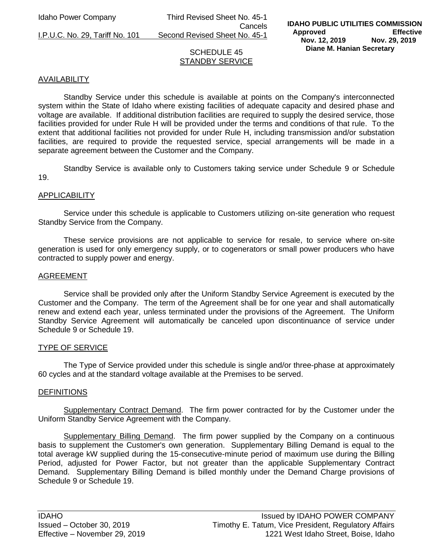Idaho Power Company Third Revised Sheet No. 45-1 Cancels I.P.U.C. No. 29, Tariff No. 101 Second Revised Sheet No. 45-1

### SCHEDULE 45 STANDBY SERVICE

### AVAILABILITY

Standby Service under this schedule is available at points on the Company's interconnected system within the State of Idaho where existing facilities of adequate capacity and desired phase and voltage are available. If additional distribution facilities are required to supply the desired service, those facilities provided for under Rule H will be provided under the terms and conditions of that rule. To the extent that additional facilities not provided for under Rule H, including transmission and/or substation facilities, are required to provide the requested service, special arrangements will be made in a separate agreement between the Customer and the Company.

Standby Service is available only to Customers taking service under Schedule 9 or Schedule 19.

#### APPLICABILITY

Service under this schedule is applicable to Customers utilizing on-site generation who request Standby Service from the Company.

These service provisions are not applicable to service for resale, to service where on-site generation is used for only emergency supply, or to cogenerators or small power producers who have contracted to supply power and energy.

#### AGREEMENT

Service shall be provided only after the Uniform Standby Service Agreement is executed by the Customer and the Company. The term of the Agreement shall be for one year and shall automatically renew and extend each year, unless terminated under the provisions of the Agreement. The Uniform Standby Service Agreement will automatically be canceled upon discontinuance of service under Schedule 9 or Schedule 19.

#### TYPE OF SERVICE

The Type of Service provided under this schedule is single and/or three-phase at approximately 60 cycles and at the standard voltage available at the Premises to be served.

#### **DEFINITIONS**

Supplementary Contract Demand. The firm power contracted for by the Customer under the Uniform Standby Service Agreement with the Company.

Supplementary Billing Demand. The firm power supplied by the Company on a continuous basis to supplement the Customer's own generation. Supplementary Billing Demand is equal to the total average kW supplied during the 15-consecutive-minute period of maximum use during the Billing Period, adjusted for Power Factor, but not greater than the applicable Supplementary Contract Demand. Supplementary Billing Demand is billed monthly under the Demand Charge provisions of Schedule 9 or Schedule 19.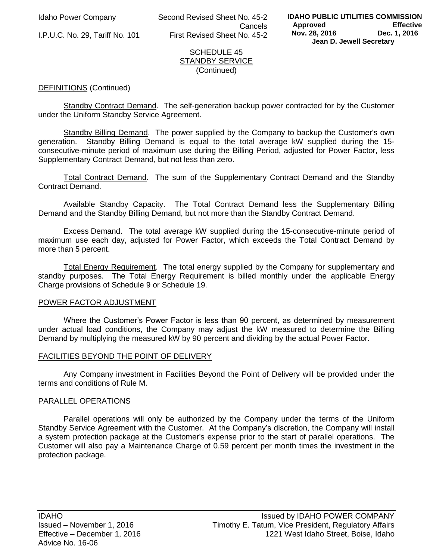I.P.U.C. No. 29, Tariff No. 101

Idaho Power Company Second Revised Sheet No. 45-2 Cancels<br>First Revised Sheet No. 45-2

### SCHEDULE 45 STANDBY SERVICE (Continued)

# DEFINITIONS (Continued)

 Standby Contract Demand. The self-generation backup power contracted for by the Customer under the Uniform Standby Service Agreement.

 Standby Billing Demand. The power supplied by the Company to backup the Customer's own generation. Standby Billing Demand is equal to the total average kW supplied during the 15 consecutive-minute period of maximum use during the Billing Period, adjusted for Power Factor, less Supplementary Contract Demand, but not less than zero.

 Total Contract Demand. The sum of the Supplementary Contract Demand and the Standby Contract Demand.

 Available Standby Capacity. The Total Contract Demand less the Supplementary Billing Demand and the Standby Billing Demand, but not more than the Standby Contract Demand.

 Excess Demand. The total average kW supplied during the 15-consecutive-minute period of maximum use each day, adjusted for Power Factor, which exceeds the Total Contract Demand by more than 5 percent.

 Total Energy Requirement. The total energy supplied by the Company for supplementary and standby purposes. The Total Energy Requirement is billed monthly under the applicable Energy Charge provisions of Schedule 9 or Schedule 19.

#### POWER FACTOR ADJUSTMENT

Where the Customer's Power Factor is less than 90 percent, as determined by measurement under actual load conditions, the Company may adjust the kW measured to determine the Billing Demand by multiplying the measured kW by 90 percent and dividing by the actual Power Factor.

#### FACILITIES BEYOND THE POINT OF DELIVERY

 Any Company investment in Facilities Beyond the Point of Delivery will be provided under the terms and conditions of Rule M.

#### PARALLEL OPERATIONS

 Parallel operations will only be authorized by the Company under the terms of the Uniform Standby Service Agreement with the Customer. At the Company's discretion, the Company will install a system protection package at the Customer's expense prior to the start of parallel operations. The Customer will also pay a Maintenance Charge of 0.59 percent per month times the investment in the protection package.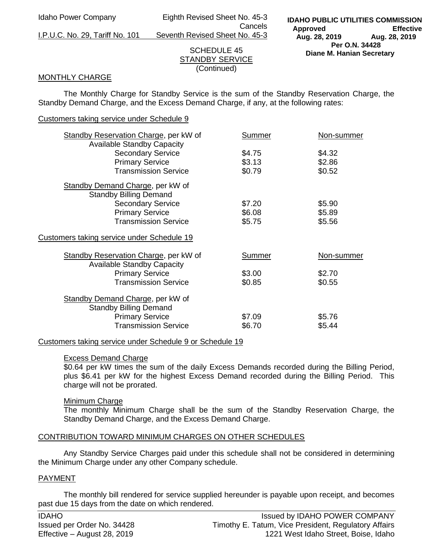Idaho Power Company Eighth Revised Sheet No. 45-3 Cancels

I.P.U.C. No. 29, Tariff No. 101 Seventh Revised Sheet No. 45-3

# SCHEDULE 45 STANDBY SERVICE (Continued)

### MONTHLY CHARGE

The Monthly Charge for Standby Service is the sum of the Standby Reservation Charge, the Standby Demand Charge, and the Excess Demand Charge, if any, at the following rates:

### Customers taking service under Schedule 9

| <b>Standby Reservation Charge, per kW of</b><br><b>Available Standby Capacity</b> | Summer | Non-summer |
|-----------------------------------------------------------------------------------|--------|------------|
| <b>Secondary Service</b>                                                          | \$4.75 | \$4.32     |
| <b>Primary Service</b>                                                            | \$3.13 | \$2.86     |
| <b>Transmission Service</b>                                                       | \$0.79 | \$0.52     |
| Standby Demand Charge, per kW of                                                  |        |            |
| <b>Standby Billing Demand</b>                                                     |        |            |
| <b>Secondary Service</b>                                                          | \$7.20 | \$5.90     |
| <b>Primary Service</b>                                                            | \$6.08 | \$5.89     |
| <b>Transmission Service</b>                                                       | \$5.75 | \$5.56     |
| Customers taking service under Schedule 19                                        |        |            |
| <b>Standby Reservation Charge, per kW of</b><br><b>Available Standby Capacity</b> | Summer | Non-summer |
| <b>Primary Service</b>                                                            | \$3.00 | \$2.70     |
| <b>Transmission Service</b>                                                       | \$0.85 | \$0.55     |
| Standby Demand Charge, per kW of<br><b>Standby Billing Demand</b>                 |        |            |
| <b>Primary Service</b>                                                            | \$7.09 | \$5.76     |
| <b>Transmission Service</b>                                                       | \$6.70 | \$5.44     |
|                                                                                   |        |            |

#### Customers taking service under Schedule 9 or Schedule 19

#### Excess Demand Charge

\$0.64 per kW times the sum of the daily Excess Demands recorded during the Billing Period, plus \$6.41 per kW for the highest Excess Demand recorded during the Billing Period. This charge will not be prorated.

#### Minimum Charge

The monthly Minimum Charge shall be the sum of the Standby Reservation Charge, the Standby Demand Charge, and the Excess Demand Charge.

# CONTRIBUTION TOWARD MINIMUM CHARGES ON OTHER SCHEDULES

Any Standby Service Charges paid under this schedule shall not be considered in determining the Minimum Charge under any other Company schedule.

# PAYMENT

The monthly bill rendered for service supplied hereunder is payable upon receipt, and becomes past due 15 days from the date on which rendered.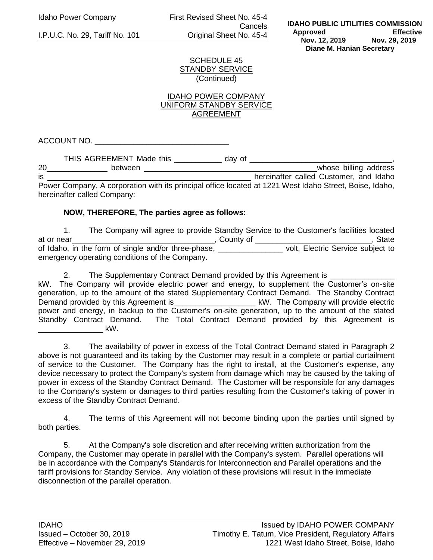Idaho Power Company First Revised Sheet No. 45-4 **Cancels** I.P.U.C. No. 29, Tariff No. 101 Original Sheet No. 45-4

SCHEDULE 45 STANDBY SERVICE (Continued)

### IDAHO POWER COMPANY UNIFORM STANDBY SERVICE AGREEMENT

ACCOUNT NO.

THIS AGREEMENT Made this \_\_\_\_\_\_\_\_\_\_\_ day of \_\_\_\_\_\_\_\_\_\_\_\_\_\_\_\_\_\_\_\_\_\_\_\_\_\_\_\_\_\_\_\_\_\_,

20\_\_\_\_\_\_\_\_\_\_\_\_\_\_ between \_\_\_\_\_\_\_\_\_\_\_\_\_\_\_\_\_\_\_\_\_\_\_\_\_\_\_\_\_\_\_\_\_\_\_\_\_\_\_\_whose billing address is \_\_\_\_\_\_\_\_\_\_\_\_\_\_\_\_\_\_\_\_\_\_\_\_\_\_\_\_\_\_\_\_\_\_\_\_\_\_\_\_\_\_\_\_\_\_\_ hereinafter called Customer, and Idaho Power Company, A corporation with its principal office located at 1221 West Idaho Street, Boise, Idaho, hereinafter called Company:

# **NOW, THEREFORE, The parties agree as follows:**

1. The Company will agree to provide Standby Service to the Customer's facilities located at or near\_\_\_\_\_\_\_\_\_\_\_\_\_\_\_\_\_\_\_\_\_\_\_\_\_\_\_\_\_\_\_\_\_, County of \_\_\_\_\_\_\_\_\_\_\_\_\_\_\_\_\_\_\_\_\_\_\_\_\_\_\_, State of Idaho, in the form of single and/or three-phase, \_\_\_\_\_\_\_\_\_\_\_\_\_\_\_ volt, Electric Service subject to emergency operating conditions of the Company.

2. The Supplementary Contract Demand provided by this Agreement is \_\_\_\_\_\_\_\_\_\_\_\_\_ kW. The Company will provide electric power and energy, to supplement the Customer's on-site generation, up to the amount of the stated Supplementary Contract Demand. The Standby Contract Demand provided by this Agreement is\_\_\_\_\_\_\_\_\_\_\_\_\_\_\_\_\_\_\_\_\_\_\_\_\_\_ kW. The Company will provide electric power and energy, in backup to the Customer's on-site generation, up to the amount of the stated Standby Contract Demand. The Total Contract Demand provided by this Agreement is \_\_\_\_\_\_\_\_\_\_\_\_\_\_\_ kW.

3. The availability of power in excess of the Total Contract Demand stated in Paragraph 2 above is not guaranteed and its taking by the Customer may result in a complete or partial curtailment of service to the Customer. The Company has the right to install, at the Customer's expense, any device necessary to protect the Company's system from damage which may be caused by the taking of power in excess of the Standby Contract Demand. The Customer will be responsible for any damages to the Company's system or damages to third parties resulting from the Customer's taking of power in excess of the Standby Contract Demand.

4. The terms of this Agreement will not become binding upon the parties until signed by both parties.

5. At the Company's sole discretion and after receiving written authorization from the Company, the Customer may operate in parallel with the Company's system. Parallel operations will be in accordance with the Company's Standards for Interconnection and Parallel operations and the tariff provisions for Standby Service. Any violation of these provisions will result in the immediate disconnection of the parallel operation.